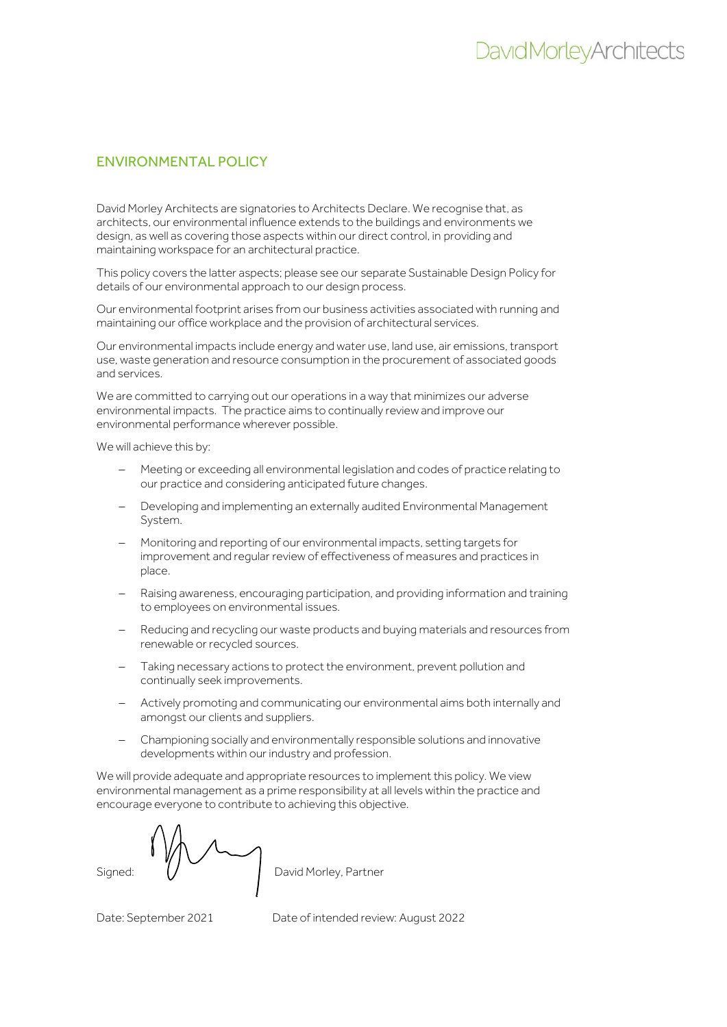## ENVIRONMENTAL POLICY

David Morley Architects are signatories to Architects Declare. We recognise that, as architects, our environmental influence extends to the buildings and environments we design, as well as covering those aspects within our direct control, in providing and maintaining workspace for an architectural practice.

This policy covers the latter aspects; please see our separate Sustainable Design Policy for details of our environmental approach to our design process.

Our environmental footprint arises from our business activities associated with running and maintaining our office workplace and the provision of architectural services.

Our environmental impacts include energy and water use, land use, air emissions, transport use, waste generation and resource consumption in the procurement of associated goods and services.

We are committed to carrying out our operations in a way that minimizes our adverse environmental impacts. The practice aims to continually review and improve our environmental performance wherever possible.

We will achieve this by:

- − Meeting or exceeding all environmental legislation and codes of practice relating to our practice and considering anticipated future changes.
- − Developing and implementing an externally audited Environmental Management System.
- − Monitoring and reporting of our environmental impacts, setting targets for improvement and regular review of effectiveness of measures and practices in place.
- − Raising awareness, encouraging participation, and providing information and training to employees on environmental issues.
- Reducing and recycling our waste products and buying materials and resources from renewable or recycled sources.
- − Taking necessary actions to protect the environment, prevent pollution and continually seek improvements.
- − Actively promoting and communicating our environmental aims both internally and amongst our clients and suppliers.
- − Championing socially and environmentally responsible solutions and innovative developments within our industry and profession.

We will provide adequate and appropriate resources to implement this policy. We view environmental management as a prime responsibility at all levels within the practice and encourage everyone to contribute to achieving this objective.

Signed:  $\left/ \right/$  David Morley, Partner

Date: September 2021 Date of intended review: August 2022